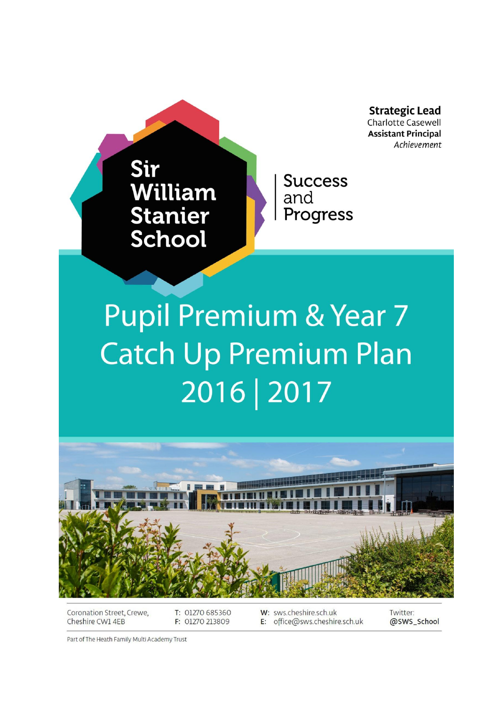**Strategic Lead** Charlotte Casewell **Assistant Principal** Achievement

# Sir William **Stanier** School

**Success** and Progress

# **Pupil Premium & Year 7 Catch Up Premium Plan** 2016 | 2017



Coronation Street, Crewe, Cheshire CW1 4EB

T: 01270 685360 F: 01270 213809

W: sws.cheshire.sch.uk E: office@sws.cheshire.sch.uk Twitter: @SWS\_School

Part of The Heath Family Multi Academy Trust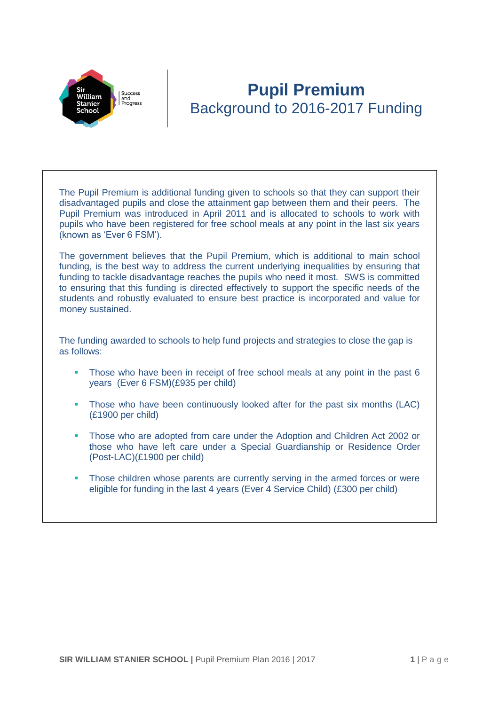

# **Pupil Premium** Background to 2016-2017 Funding

The Pupil Premium is additional funding given to schools so that they can support their disadvantaged pupils and close the attainment gap between them and their peers. The Pupil Premium was introduced in April 2011 and is allocated to schools to work with pupils who have been registered for free school meals at any point in the last six years (known as 'Ever 6 FSM').

The government believes that the Pupil Premium, which is additional to main school funding, is the best way to address the current underlying inequalities by ensuring that funding to tackle disadvantage reaches the pupils who need it most. SWS is committed to ensuring that this funding is directed effectively to support the specific needs of the students and robustly evaluated to ensure best practice is incorporated and value for money sustained.

The funding awarded to schools to help fund projects and strategies to close the gap is as follows:

- Those who have been in receipt of free school meals at any point in the past 6 years (Ever 6 FSM)(£935 per child)
- Those who have been continuously looked after for the past six months (LAC) (£1900 per child)
- **Those who are adopted from care under the Adoption and Children Act 2002 or** those who have left care under a Special Guardianship or Residence Order (Post-LAC)(£1900 per child)
- Those children whose parents are currently serving in the armed forces or were eligible for funding in the last 4 years (Ever 4 Service Child) (£300 per child)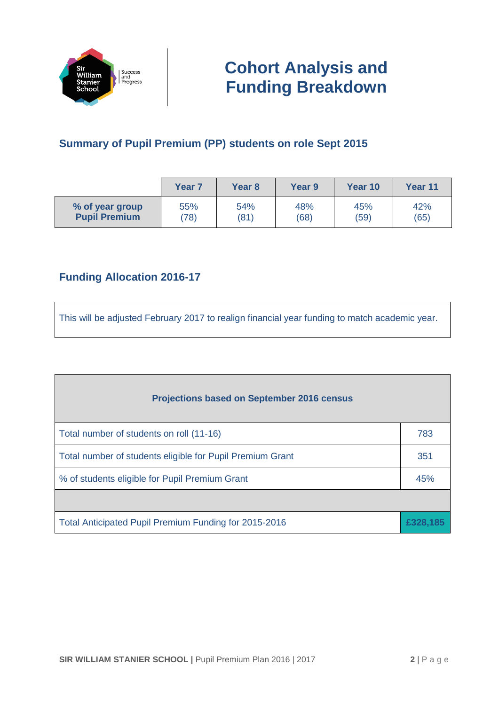

### **Summary of Pupil Premium (PP) students on role Sept 2015**

|                      | <b>Year 7</b> | Year <sub>8</sub> | <b>Year 9</b> | Year 10 | <b>Year 11</b> |
|----------------------|---------------|-------------------|---------------|---------|----------------|
| % of year group      | 55%           | 54%               | 48%           | 45%     | 42%            |
| <b>Pupil Premium</b> | (78)          | (81)              | (68)          | (59)    | (65)           |

### **Funding Allocation 2016-17**

This will be adjusted February 2017 to realign financial year funding to match academic year.

| <b>Projections based on September 2016 census</b>               |     |  |  |
|-----------------------------------------------------------------|-----|--|--|
| Total number of students on roll (11-16)                        | 783 |  |  |
| Total number of students eligible for Pupil Premium Grant       |     |  |  |
| % of students eligible for Pupil Premium Grant                  |     |  |  |
|                                                                 |     |  |  |
| Total Anticipated Pupil Premium Funding for 2015-2016<br>£328.1 |     |  |  |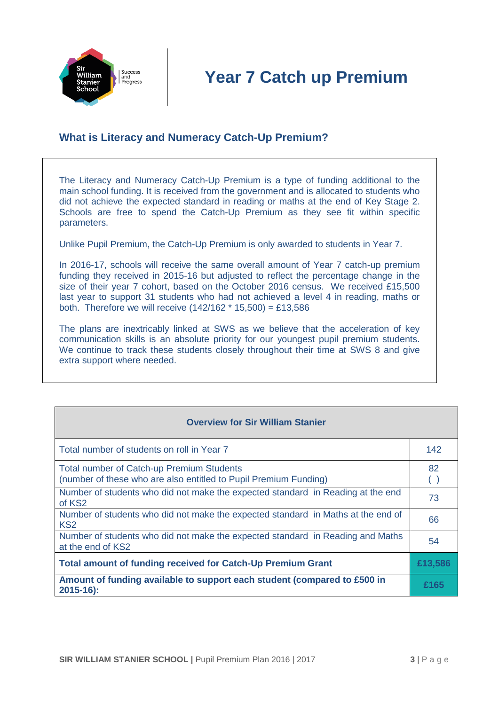

### **What is Literacy and Numeracy Catch-Up Premium?**

The Literacy and Numeracy Catch-Up Premium is a type of funding additional to the main school funding. It is received from the government and is allocated to students who did not achieve the expected standard in reading or maths at the end of Key Stage 2. Schools are free to spend the Catch-Up Premium as they see fit within specific parameters.

Unlike Pupil Premium, the Catch-Up Premium is only awarded to students in Year 7.

In 2016-17, schools will receive the same overall amount of Year 7 catch-up premium funding they received in 2015-16 but adjusted to reflect the percentage change in the size of their year 7 cohort, based on the October 2016 census. We received £15,500 last year to support 31 students who had not achieved a level 4 in reading, maths or both. Therefore we will receive  $(142/162 * 15.500) = £13.586$ 

The plans are inextricably linked at SWS as we believe that the acceleration of key communication skills is an absolute priority for our youngest pupil premium students. We continue to track these students closely throughout their time at SWS 8 and give extra support where needed.

| Total number of students on roll in Year 7                                                                           | 142     |
|----------------------------------------------------------------------------------------------------------------------|---------|
| <b>Total number of Catch-up Premium Students</b><br>(number of these who are also entitled to Pupil Premium Funding) | 82      |
| Number of students who did not make the expected standard in Reading at the end<br>of KS <sub>2</sub>                | 73      |
| Number of students who did not make the expected standard in Maths at the end of<br>KS <sub>2</sub>                  | 66      |
| Number of students who did not make the expected standard in Reading and Maths<br>at the end of KS2                  | 54      |
| <b>Total amount of funding received for Catch-Up Premium Grant</b>                                                   | £13,586 |
| Amount of funding available to support each student (compared to £500 in<br>$2015 - 16$ :                            | £165    |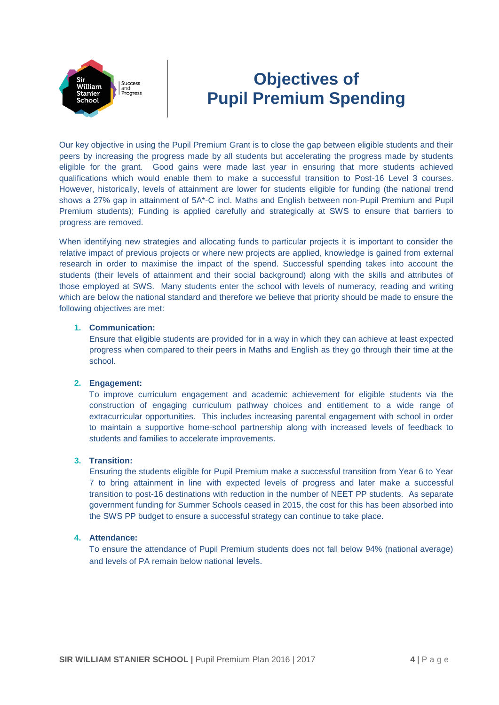

# **Objectives of Pupil Premium Spending**

Our key objective in using the Pupil Premium Grant is to close the gap between eligible students and their peers by increasing the progress made by all students but accelerating the progress made by students eligible for the grant. Good gains were made last year in ensuring that more students achieved qualifications which would enable them to make a successful transition to Post-16 Level 3 courses. However, historically, levels of attainment are lower for students eligible for funding (the national trend shows a 27% gap in attainment of 5A\*-C incl. Maths and English between non-Pupil Premium and Pupil Premium students); Funding is applied carefully and strategically at SWS to ensure that barriers to progress are removed.

When identifying new strategies and allocating funds to particular projects it is important to consider the relative impact of previous projects or where new projects are applied, knowledge is gained from external research in order to maximise the impact of the spend. Successful spending takes into account the students (their levels of attainment and their social background) along with the skills and attributes of those employed at SWS. Many students enter the school with levels of numeracy, reading and writing which are below the national standard and therefore we believe that priority should be made to ensure the following objectives are met:

#### **1. Communication:**

Ensure that eligible students are provided for in a way in which they can achieve at least expected progress when compared to their peers in Maths and English as they go through their time at the school.

#### **2. Engagement:**

To improve curriculum engagement and academic achievement for eligible students via the construction of engaging curriculum pathway choices and entitlement to a wide range of extracurricular opportunities. This includes increasing parental engagement with school in order to maintain a supportive home-school partnership along with increased levels of feedback to students and families to accelerate improvements.

#### **3. Transition:**

Ensuring the students eligible for Pupil Premium make a successful transition from Year 6 to Year 7 to bring attainment in line with expected levels of progress and later make a successful transition to post-16 destinations with reduction in the number of NEET PP students. As separate government funding for Summer Schools ceased in 2015, the cost for this has been absorbed into the SWS PP budget to ensure a successful strategy can continue to take place.

#### **4. Attendance:**

To ensure the attendance of Pupil Premium students does not fall below 94% (national average) and levels of PA remain below national levels.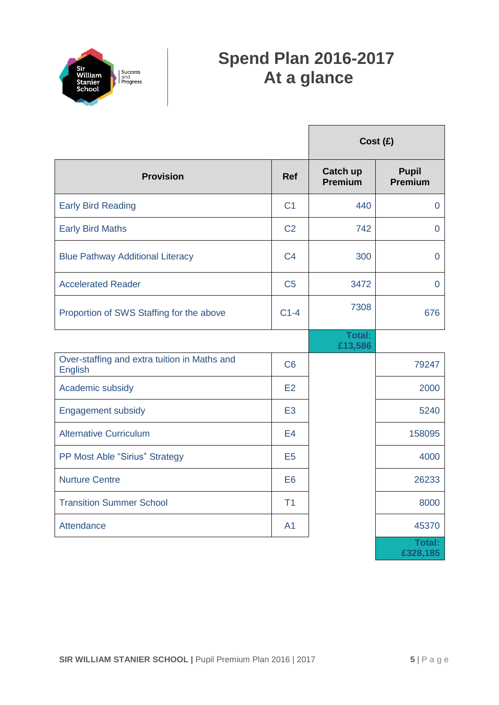

# **Spend Plan 2016-2017 At a glance**

|                                                                |                | Cost (£)                 |                           |
|----------------------------------------------------------------|----------------|--------------------------|---------------------------|
| <b>Provision</b>                                               | <b>Ref</b>     | Catch up<br>Premium      | <b>Pupil</b><br>Premium   |
| <b>Early Bird Reading</b>                                      | C <sub>1</sub> | 440                      | $\overline{0}$            |
| <b>Early Bird Maths</b>                                        | C <sub>2</sub> | 742                      | $\overline{0}$            |
| <b>Blue Pathway Additional Literacy</b>                        | C <sub>4</sub> | 300                      | $\overline{0}$            |
| <b>Accelerated Reader</b>                                      | C <sub>5</sub> | 3472                     | 0                         |
| Proportion of SWS Staffing for the above                       | $C1-4$         | 7308                     | 676                       |
|                                                                |                | <b>Total:</b><br>£13,586 |                           |
| Over-staffing and extra tuition in Maths and<br><b>English</b> | C6             |                          | 79247                     |
| Academic subsidy                                               | E2             |                          | 2000                      |
| <b>Engagement subsidy</b>                                      | E <sub>3</sub> |                          | 5240                      |
| <b>Alternative Curriculum</b>                                  | E4             |                          | 158095                    |
| PP Most Able "Sirius" Strategy                                 | E <sub>5</sub> |                          | 4000                      |
| <b>Nurture Centre</b>                                          | E <sub>6</sub> |                          | 26233                     |
| <b>Transition Summer School</b>                                | T <sub>1</sub> |                          | 8000                      |
| Attendance                                                     | A <sub>1</sub> |                          | 45370                     |
|                                                                |                |                          | <b>Total:</b><br>£328,185 |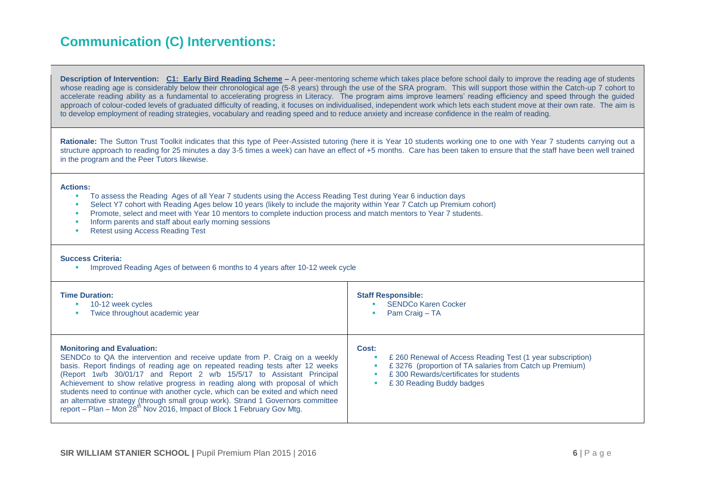# **Communication (C) Interventions:**

**Description of Intervention: C1: Early Bird Reading Scheme –** A peer-mentoring scheme which takes place before school daily to improve the reading age of students whose reading age is considerably below their chronological age (5-8 years) through the use of the SRA program. This will support those within the Catch-up 7 cohort to accelerate reading ability as a fundamental to accelerating progress in Literacy. The program aims improve learners' reading efficiency and speed through the guided approach of colour-coded levels of graduated difficulty of reading, it focuses on individualised, independent work which lets each student move at their own rate. The aim is to develop employment of reading strategies, vocabulary and reading speed and to reduce anxiety and increase confidence in the realm of reading.

**Rationale:** The Sutton Trust Toolkit indicates that this type of Peer-Assisted tutoring (here it is Year 10 students working one to one with Year 7 students carrying out a structure approach to reading for 25 minutes a day 3-5 times a week) can have an effect of +5 months. Care has been taken to ensure that the staff have been well trained in the program and the Peer Tutors likewise.

#### **Actions:**

- To assess the Reading Ages of all Year 7 students using the Access Reading Test during Year 6 induction days
- Select Y7 cohort with Reading Ages below 10 years (likely to include the majority within Year 7 Catch up Premium cohort)
- **Promote, select and meet with Year 10 mentors to complete induction process and match mentors to Year 7 students.**
- **Inform parents and staff about early morning sessions**
- Retest using Access Reading Test

#### **Success Criteria:**

Improved Reading Ages of between 6 months to 4 years after 10-12 week cycle

| <b>Time Duration:</b>                                                                                                                                                                                                                                                                                                                                                                                                                                                                                                                                                                                                     | <b>Staff Responsible:</b>                                                                                                                                                                            |
|---------------------------------------------------------------------------------------------------------------------------------------------------------------------------------------------------------------------------------------------------------------------------------------------------------------------------------------------------------------------------------------------------------------------------------------------------------------------------------------------------------------------------------------------------------------------------------------------------------------------------|------------------------------------------------------------------------------------------------------------------------------------------------------------------------------------------------------|
| 10-12 week cycles                                                                                                                                                                                                                                                                                                                                                                                                                                                                                                                                                                                                         | <b>SENDCo Karen Cocker</b>                                                                                                                                                                           |
| Twice throughout academic year                                                                                                                                                                                                                                                                                                                                                                                                                                                                                                                                                                                            | Pam Craig - TA                                                                                                                                                                                       |
| <b>Monitoring and Evaluation:</b><br>SENDCo to QA the intervention and receive update from P. Craig on a weekly<br>basis. Report findings of reading age on repeated reading tests after 12 weeks<br>(Report 1w/b 30/01/17 and Report 2 w/b 15/5/17 to Assistant Principal<br>Achievement to show relative progress in reading along with proposal of which<br>students need to continue with another cycle, which can be exited and which need<br>an alternative strategy (through small group work). Strand 1 Governors committee<br>report – Plan – Mon 28 <sup>th</sup> Nov 2016, Impact of Block 1 February Gov Mtg. | Cost:<br>£ 260 Renewal of Access Reading Test (1 year subscription)<br>£3276 (proportion of TA salaries from Catch up Premium)<br>£300 Rewards/certificates for students<br>£30 Reading Buddy badges |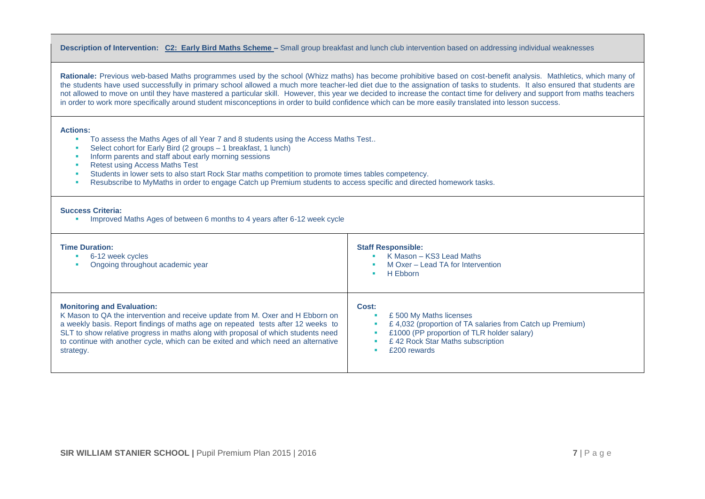#### **Description of Intervention: C2: Early Bird Maths Scheme –** Small group breakfast and lunch club intervention based on addressing individual weaknesses

**Rationale:** Previous web-based Maths programmes used by the school (Whizz maths) has become prohibitive based on cost-benefit analysis. Mathletics, which many of the students have used successfully in primary school allowed a much more teacher-led diet due to the assignation of tasks to students. It also ensured that students are not allowed to move on until they have mastered a particular skill. However, this year we decided to increase the contact time for delivery and support from maths teachers in order to work more specifically around student misconceptions in order to build confidence which can be more easily translated into lesson success.

#### **Actions:**

- To assess the Maths Ages of all Year 7 and 8 students using the Access Maths Test..
- Select cohort for Early Bird (2 groups 1 breakfast, 1 lunch)
- Inform parents and staff about early morning sessions
- Retest using Access Maths Test
- Students in lower sets to also start Rock Star maths competition to promote times tables competency.
- Resubscribe to MyMaths in order to engage Catch up Premium students to access specific and directed homework tasks.

#### **Success Criteria:**

**IMPROVED Maths Ages of between 6 months to 4 years after 6-12 week cycle** 

| <b>Time Duration:</b><br>6-12 week cycles<br>Ongoing throughout academic year     | <b>Staff Responsible:</b><br>K Mason - KS3 Lead Maths<br>M Oxer – Lead TA for Intervention<br>H Ebborn |
|-----------------------------------------------------------------------------------|--------------------------------------------------------------------------------------------------------|
| <b>Monitoring and Evaluation:</b>                                                 | Cost:                                                                                                  |
| K Mason to QA the intervention and receive update from M. Oxer and H Ebborn on    | £500 My Maths licenses                                                                                 |
| a weekly basis. Report findings of maths age on repeated tests after 12 weeks to  | £4,032 (proportion of TA salaries from Catch up Premium)                                               |
| SLT to show relative progress in maths along with proposal of which students need | £1000 (PP proportion of TLR holder salary)                                                             |
| to continue with another cycle, which can be exited and which need an alternative | £42 Rock Star Maths subscription                                                                       |
| strategy.                                                                         | £200 rewards                                                                                           |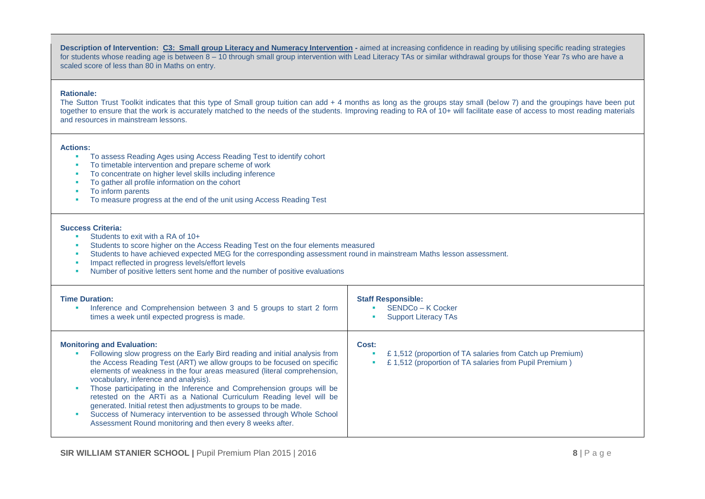**Description of Intervention: C3: Small group Literacy and Numeracy Intervention - aimed at increasing confidence in reading by utilising specific reading strategies** for students whose reading age is between 8 – 10 through small group intervention with Lead Literacy TAs or similar withdrawal groups for those Year 7s who are have a scaled score of less than 80 in Maths on entry.

#### **Rationale:**

The Sutton Trust Toolkit indicates that this type of Small group tuition can add + 4 months as long as the groups stay small (below 7) and the groupings have been put together to ensure that the work is accurately matched to the needs of the students. Improving reading to RA of 10+ will facilitate ease of access to most reading materials and resources in mainstream lessons.

#### **Actions:**

- To assess Reading Ages using Access Reading Test to identify cohort
- To timetable intervention and prepare scheme of work
- To concentrate on higher level skills including inference
- To gather all profile information on the cohort
- To inform parents
- To measure progress at the end of the unit using Access Reading Test

- **Students to exit with a RA of 10+**
- **Students to score higher on the Access Reading Test on the four elements measured**
- Students to have achieved expected MEG for the corresponding assessment round in mainstream Maths lesson assessment.
- **IMPACT reflected in progress levels/effort levels**
- Number of positive letters sent home and the number of positive evaluations

| <b>Time Duration:</b>                                                                                                                                                                                                                                                                                                                                                                                                                                                                                                                                                                                                                                                   | <b>Staff Responsible:</b>                                                                                                  |
|-------------------------------------------------------------------------------------------------------------------------------------------------------------------------------------------------------------------------------------------------------------------------------------------------------------------------------------------------------------------------------------------------------------------------------------------------------------------------------------------------------------------------------------------------------------------------------------------------------------------------------------------------------------------------|----------------------------------------------------------------------------------------------------------------------------|
| Inference and Comprehension between 3 and 5 groups to start 2 form                                                                                                                                                                                                                                                                                                                                                                                                                                                                                                                                                                                                      | SENDCo - K Cocker                                                                                                          |
| times a week until expected progress is made.                                                                                                                                                                                                                                                                                                                                                                                                                                                                                                                                                                                                                           | <b>Support Literacy TAs</b>                                                                                                |
| <b>Monitoring and Evaluation:</b><br>Following slow progress on the Early Bird reading and initial analysis from<br>the Access Reading Test (ART) we allow groups to be focused on specific<br>elements of weakness in the four areas measured (literal comprehension,<br>vocabulary, inference and analysis).<br>Those participating in the Inference and Comprehension groups will be<br>retested on the ARTi as a National Curriculum Reading level will be<br>generated. Initial retest then adjustments to groups to be made.<br>Success of Numeracy intervention to be assessed through Whole School<br>Assessment Round monitoring and then every 8 weeks after. | Cost:<br>£1,512 (proportion of TA salaries from Catch up Premium)<br>£1,512 (proportion of TA salaries from Pupil Premium) |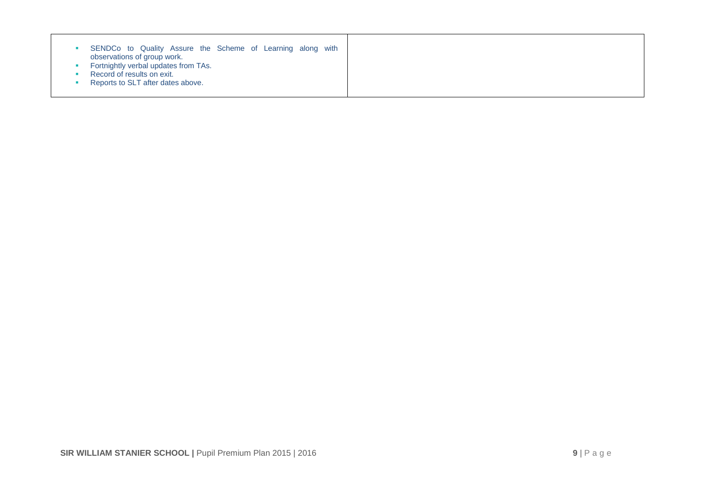| SENDCo to Quality Assure the Scheme of Learning along with |  |
|------------------------------------------------------------|--|
|------------------------------------------------------------|--|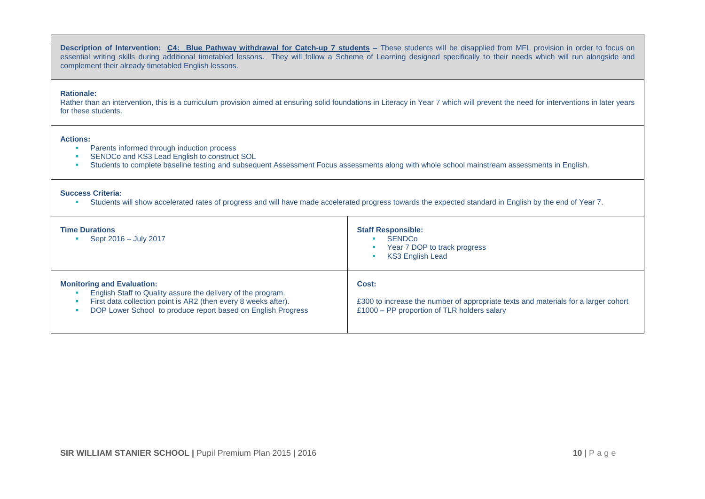**Description of Intervention: C4: Blue Pathway withdrawal for Catch-up 7 students -** These students will be disapplied from MFL provision in order to focus on essential writing skills during additional timetabled lessons. They will follow a Scheme of Learning designed specifically to their needs which will run alongside and complement their already timetabled English lessons.

#### **Rationale:**

Rather than an intervention, this is a curriculum provision aimed at ensuring solid foundations in Literacy in Year 7 which will prevent the need for interventions in later years for these students.

#### **Actions:**

- **Parents informed through induction process**
- **SENDCo and KS3 Lead English to construct SOL**
- Students to complete baseline testing and subsequent Assessment Focus assessments along with whole school mainstream assessments in English.

#### **Success Criteria:**

Students will show accelerated rates of progress and will have made accelerated progress towards the expected standard in English by the end of Year 7.

| <b>Time Durations</b><br>Sept 2016 - July 2017                                                                                                                                                                                      | <b>Staff Responsible:</b><br><b>SENDCo</b><br>Year 7 DOP to track progress<br><b>KS3 English Lead</b>                                      |
|-------------------------------------------------------------------------------------------------------------------------------------------------------------------------------------------------------------------------------------|--------------------------------------------------------------------------------------------------------------------------------------------|
| <b>Monitoring and Evaluation:</b><br>English Staff to Quality assure the delivery of the program.<br>First data collection point is AR2 (then every 8 weeks after).<br>DOP Lower School to produce report based on English Progress | Cost:<br>£300 to increase the number of appropriate texts and materials for a larger cohort<br>£1000 – PP proportion of TLR holders salary |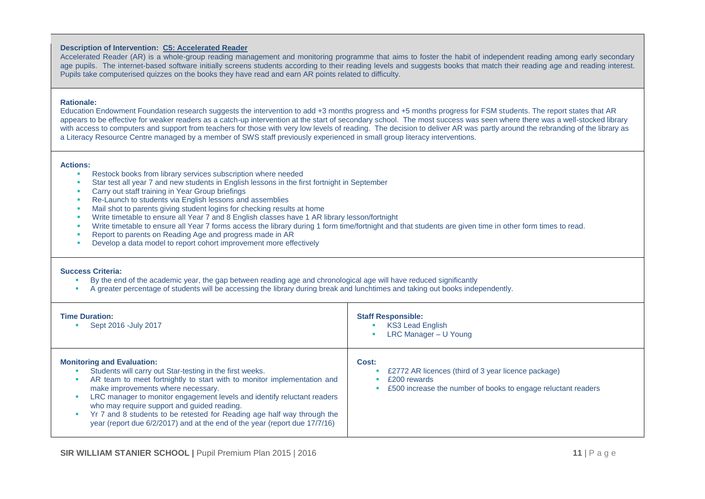#### **Description of Intervention: C5: Accelerated Reader**

Accelerated Reader (AR) is a whole-group reading management and monitoring programme that aims to foster the habit of independent reading among early secondary age pupils. The internet-based software initially screens students according to their reading levels and suggests books that match their reading age and reading interest. Pupils take computerised quizzes on the books they have read and earn AR points related to difficulty.

#### **Rationale:**

Education Endowment Foundation research suggests the intervention to add +3 months progress and +5 months progress for FSM students. The report states that AR appears to be effective for weaker readers as a catch-up intervention at the start of secondary school. The most success was seen where there was a well-stocked library with access to computers and support from teachers for those with very low levels of reading. The decision to deliver AR was partly around the rebranding of the library as a Literacy Resource Centre managed by a member of SWS staff previously experienced in small group literacy interventions.

#### **Actions:**

- **Restock books from library services subscription where needed**
- Star test all year 7 and new students in English lessons in the first fortnight in September
- **Carry out staff training in Year Group briefings**
- Re-Launch to students via English lessons and assemblies
- **Mail shot to parents giving student logins for checking results at home**
- Write timetable to ensure all Year 7 and 8 English classes have 1 AR library lesson/fortnight
- Write timetable to ensure all Year 7 forms access the library during 1 form time/fortnight and that students are given time in other form times to read.
- Report to parents on Reading Age and progress made in AR
- Develop a data model to report cohort improvement more effectively

- By the end of the academic year, the gap between reading age and chronological age will have reduced significantly
- A greater percentage of students will be accessing the library during break and lunchtimes and taking out books independently.

| <b>Time Duration:</b><br>Sept 2016 - July 2017                                                                                                                                                                                                                                                                                                                                                                                                                                                    | <b>Staff Responsible:</b><br><b>KS3 Lead English</b><br>LRC Manager - U Young                                                                 |
|---------------------------------------------------------------------------------------------------------------------------------------------------------------------------------------------------------------------------------------------------------------------------------------------------------------------------------------------------------------------------------------------------------------------------------------------------------------------------------------------------|-----------------------------------------------------------------------------------------------------------------------------------------------|
| <b>Monitoring and Evaluation:</b><br>Students will carry out Star-testing in the first weeks.<br>AR team to meet fortnightly to start with to monitor implementation and<br>make improvements where necessary.<br>LRC manager to monitor engagement levels and identify reluctant readers<br>who may require support and guided reading.<br>Yr 7 and 8 students to be retested for Reading age half way through the<br>year (report due 6/2/2017) and at the end of the year (report due 17/7/16) | Cost:<br>£2772 AR licences (third of 3 year licence package)<br>£200 rewards<br>£500 increase the number of books to engage reluctant readers |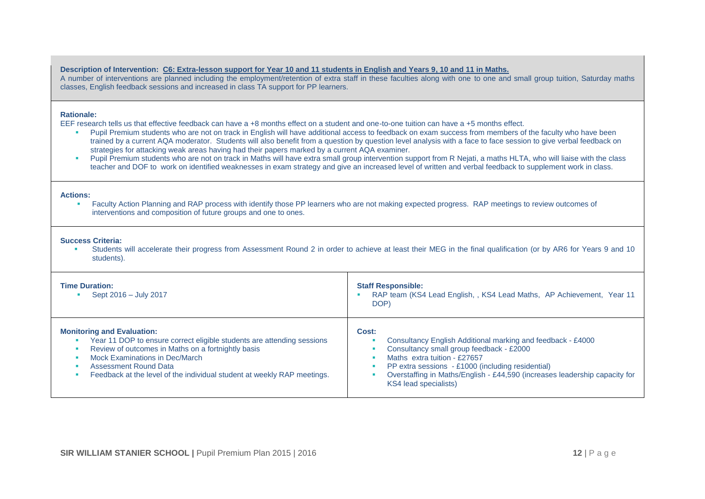#### **Description of Intervention: C6: Extra-lesson support for Year 10 and 11 students in English and Years 9, 10 and 11 in Maths.**

A number of interventions are planned including the employment/retention of extra staff in these faculties along with one to one and small group tuition, Saturday maths classes, English feedback sessions and increased in class TA support for PP learners.

#### **Rationale:**

EEF research tells us that effective feedback can have a +8 months effect on a student and one-to-one tuition can have a +5 months effect.

- Pupil Premium students who are not on track in English will have additional access to feedback on exam success from members of the faculty who have been trained by a current AQA moderator. Students will also benefit from a question by question level analysis with a face to face session to give verbal feedback on strategies for attacking weak areas having had their papers marked by a current AQA examiner.
- Pupil Premium students who are not on track in Maths will have extra small group intervention support from R Nejati, a maths HLTA, who will liaise with the class teacher and DOF to work on identified weaknesses in exam strategy and give an increased level of written and verbal feedback to supplement work in class.

#### **Actions:**

**Faculty Action Planning and RAP process with identify those PP learners who are not making expected progress. RAP meetings to review outcomes of** interventions and composition of future groups and one to ones.

#### **Success Criteria:**

 Students will accelerate their progress from Assessment Round 2 in order to achieve at least their MEG in the final qualification (or by AR6 for Years 9 and 10 students).

| <b>Time Duration:</b><br>Sept 2016 - July 2017                                                                                                                                                                                                                                                          | <b>Staff Responsible:</b><br>RAP team (KS4 Lead English, , KS4 Lead Maths, AP Achievement, Year 11<br>DOP)                                                                                                                                                                                                   |
|---------------------------------------------------------------------------------------------------------------------------------------------------------------------------------------------------------------------------------------------------------------------------------------------------------|--------------------------------------------------------------------------------------------------------------------------------------------------------------------------------------------------------------------------------------------------------------------------------------------------------------|
| <b>Monitoring and Evaluation:</b><br>Year 11 DOP to ensure correct eligible students are attending sessions<br>Review of outcomes in Maths on a fortnightly basis<br>Mock Examinations in Dec/March<br>Assessment Round Data<br>Feedback at the level of the individual student at weekly RAP meetings. | Cost:<br>Consultancy English Additional marking and feedback - £4000<br>Consultancy small group feedback - £2000<br>Maths extra tuition - £27657<br>PP extra sessions - £1000 (including residential)<br>Overstaffing in Maths/English - £44,590 (increases leadership capacity for<br>KS4 lead specialists) |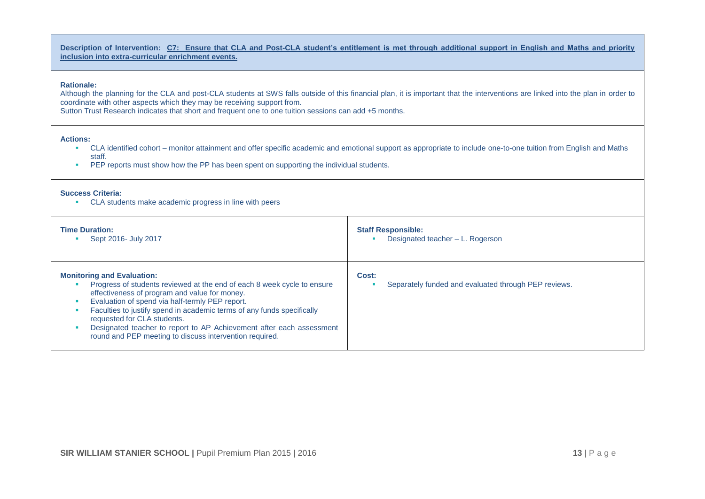**Description of Intervention: C7: Ensure that CLA and Post-CLA student's entitlement is met through additional support in English and Maths and priority inclusion into extra-curricular enrichment events.**

#### **Rationale:**

Although the planning for the CLA and post-CLA students at SWS falls outside of this financial plan, it is important that the interventions are linked into the plan in order to coordinate with other aspects which they may be receiving support from.

Sutton Trust Research indicates that short and frequent one to one tuition sessions can add +5 months.

#### **Actions:**

- CLA identified cohort monitor attainment and offer specific academic and emotional support as appropriate to include one-to-one tuition from English and Maths staff.
- **PEP reports must show how the PP has been spent on supporting the individual students.**

#### **Success Criteria:**

CLA students make academic progress in line with peers

| <b>Time Duration:</b>                                                                                                                                                                                                                                                                                                                                                                                                                                        | <b>Staff Responsible:</b>                                     |
|--------------------------------------------------------------------------------------------------------------------------------------------------------------------------------------------------------------------------------------------------------------------------------------------------------------------------------------------------------------------------------------------------------------------------------------------------------------|---------------------------------------------------------------|
| Sept 2016- July 2017                                                                                                                                                                                                                                                                                                                                                                                                                                         | Designated teacher - L. Rogerson                              |
| <b>Monitoring and Evaluation:</b><br>Progress of students reviewed at the end of each 8 week cycle to ensure<br>effectiveness of program and value for money.<br>Evaluation of spend via half-termly PEP report.<br>Faculties to justify spend in academic terms of any funds specifically<br>requested for CLA students.<br>Designated teacher to report to AP Achievement after each assessment<br>round and PEP meeting to discuss intervention required. | Cost:<br>Separately funded and evaluated through PEP reviews. |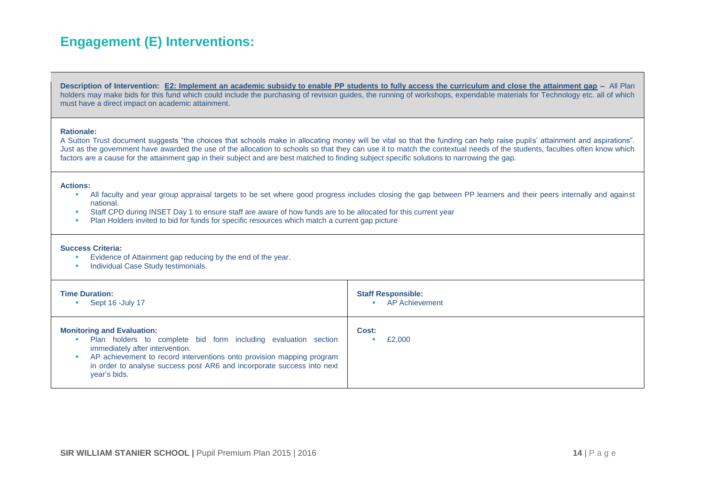# **Engagement (E) Interventions:**

**Description of Intervention: E2: Implement an academic subsidy to enable PP students to fully access the curriculum and close the attainment gap –** All Plan holders may make bids for this fund which could include the purchasing of revision guides, the running of workshops, expendable materials for Technology etc. all of which must have a direct impact on academic attainment.

#### **Rationale:**

A Sutton Trust document suggests "the choices that schools make in allocating money will be vital so that the funding can help raise pupils' attainment and aspirations". Just as the government have awarded the use of the allocation to schools so that they can use it to match the contextual needs of the students, faculties often know which factors are a cause for the attainment gap in their subject and are best matched to finding subject specific solutions to narrowing the gap.

#### **Actions:**

- All faculty and year group appraisal targets to be set where good progress includes closing the gap between PP learners and their peers internally and against national.
- Staff CPD during INSET Day 1 to ensure staff are aware of how funds are to be allocated for this current year
- Plan Holders invited to bid for funds for specific resources which match a current gap picture

- **Evidence of Attainment gap reducing by the end of the year.**
- **Individual Case Study testimonials.**

| <b>Time Duration:</b><br>Sept 16 - July 17                                                                                                                                                                                                                                                                | <b>Staff Responsible:</b><br><b>AP Achievement</b><br>× |
|-----------------------------------------------------------------------------------------------------------------------------------------------------------------------------------------------------------------------------------------------------------------------------------------------------------|---------------------------------------------------------|
| <b>Monitoring and Evaluation:</b><br>Plan holders to complete bid form including evaluation section<br>immediately after intervention.<br>AP achievement to record interventions onto provision mapping program<br>in order to analyse success post AR6 and incorporate success into next<br>year's bids. | Cost:<br>£2,000                                         |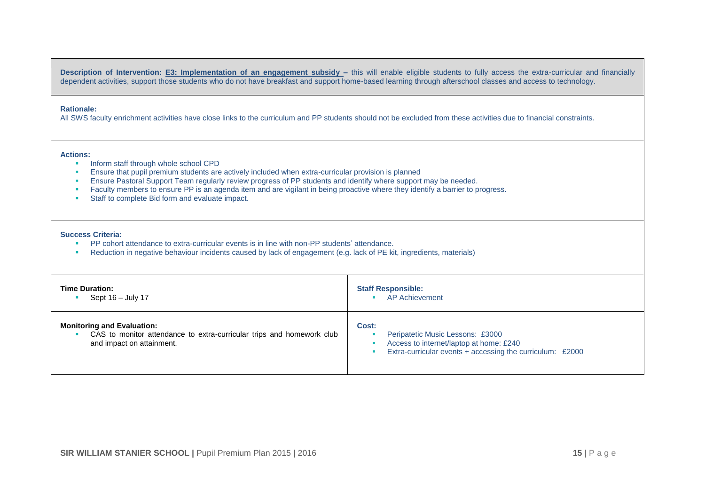**Description of Intervention: E3: Implementation of an engagement subsidy –** this will enable eligible students to fully access the extra-curricular and financially dependent activities, support those students who do not have breakfast and support home-based learning through afterschool classes and access to technology.

#### **Rationale:**

All SWS faculty enrichment activities have close links to the curriculum and PP students should not be excluded from these activities due to financial constraints.

#### **Actions:**

- **Inform staff through whole school CPD**
- **Ensure that pupil premium students are actively included when extra-curricular provision is planned**
- **Ensure Pastoral Support Team regularly review progress of PP students and identify where support may be needed.**
- Faculty members to ensure PP is an agenda item and are vigilant in being proactive where they identify a barrier to progress.
- **Staff to complete Bid form and evaluate impact.**

- PP cohort attendance to extra-curricular events is in line with non-PP students' attendance.
- Reduction in negative behaviour incidents caused by lack of engagement (e.g. lack of PE kit, ingredients, materials)

| <b>Time Duration:</b>                                                                                                                   | <b>Staff Responsible:</b>                                                                                                                         |
|-----------------------------------------------------------------------------------------------------------------------------------------|---------------------------------------------------------------------------------------------------------------------------------------------------|
| Sept 16 - July 17                                                                                                                       | <b>AP Achievement</b>                                                                                                                             |
| <b>Monitoring and Evaluation:</b><br>CAS to monitor attendance to extra-curricular trips and homework club<br>and impact on attainment. | Cost:<br>Peripatetic Music Lessons: £3000<br>Access to internet/laptop at home: £240<br>Extra-curricular events + accessing the curriculum: £2000 |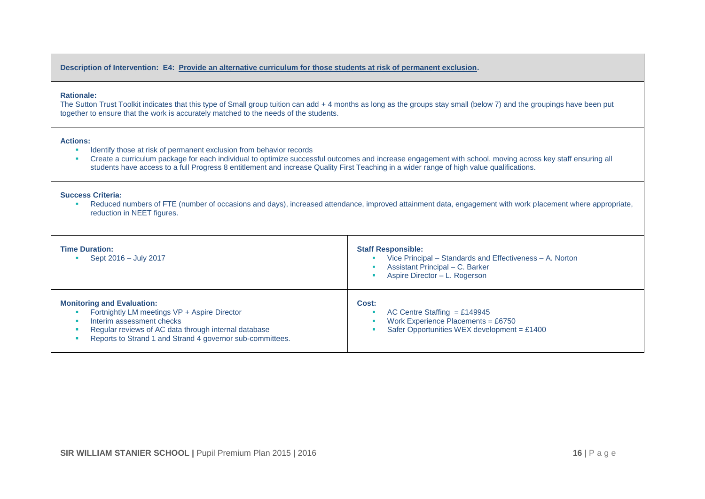**Description of Intervention: E4: Provide an alternative curriculum for those students at risk of permanent exclusion.**

#### **Rationale:**

The Sutton Trust Toolkit indicates that this type of Small group tuition can add + 4 months as long as the groups stay small (below 7) and the groupings have been put together to ensure that the work is accurately matched to the needs of the students.

#### **Actions:**

- **IDENTIFY** Identify those at risk of permanent exclusion from behavior records
- Create a curriculum package for each individual to optimize successful outcomes and increase engagement with school, moving across key staff ensuring all students have access to a full Progress 8 entitlement and increase Quality First Teaching in a wider range of high value qualifications.

#### **Success Criteria:**

 Reduced numbers of FTE (number of occasions and days), increased attendance, improved attainment data, engagement with work placement where appropriate, reduction in NEET figures.

| <b>Time Duration:</b><br>Sept 2016 - July 2017                                                                                                                                                                                      | <b>Staff Responsible:</b><br>Vice Principal – Standards and Effectiveness – A. Norton<br>Assistant Principal – C. Barker<br>Aspire Director - L. Rogerson |
|-------------------------------------------------------------------------------------------------------------------------------------------------------------------------------------------------------------------------------------|-----------------------------------------------------------------------------------------------------------------------------------------------------------|
| <b>Monitoring and Evaluation:</b><br>Fortnightly LM meetings VP + Aspire Director<br>Interim assessment checks<br>Regular reviews of AC data through internal database<br>Reports to Strand 1 and Strand 4 governor sub-committees. | Cost:<br>AC Centre Staffing = £149945<br>Work Experience Placements = $£6750$<br>Safer Opportunities WEX development = $£1400$                            |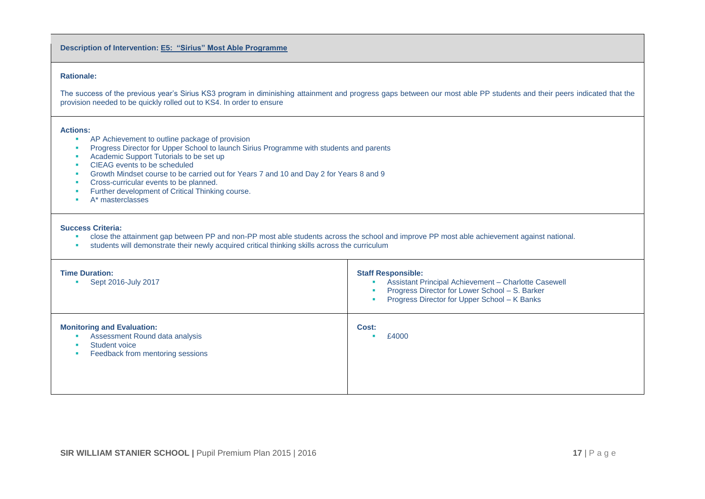**Description of Intervention: E5: "Sirius" Most Able Programme** 

#### **Rationale:**

The success of the previous year's Sirius KS3 program in diminishing attainment and progress gaps between our most able PP students and their peers indicated that the provision needed to be quickly rolled out to KS4. In order to ensure

#### **Actions:**

- **AP Achievement to outline package of provision**
- **Progress Director for Upper School to launch Sirius Programme with students and parents**
- **Academic Support Tutorials to be set up**
- CIEAG events to be scheduled
- Growth Mindset course to be carried out for Years 7 and 10 and Day 2 for Years 8 and 9
- **Cross-curricular events to be planned.**
- **Further development of Critical Thinking course.**
- **A**\* masterclasses

- close the attainment gap between PP and non-PP most able students across the school and improve PP most able achievement against national.
- students will demonstrate their newly acquired critical thinking skills across the curriculum

| <b>Time Duration:</b><br>Sept 2016-July 2017                                                                                             | <b>Staff Responsible:</b><br>Assistant Principal Achievement - Charlotte Casewell<br>Progress Director for Lower School - S. Barker<br>Progress Director for Upper School - K Banks |
|------------------------------------------------------------------------------------------------------------------------------------------|-------------------------------------------------------------------------------------------------------------------------------------------------------------------------------------|
| <b>Monitoring and Evaluation:</b><br>Assessment Round data analysis<br>Student voice<br>$\mathbf{m}$<br>Feedback from mentoring sessions | Cost:<br>£4000                                                                                                                                                                      |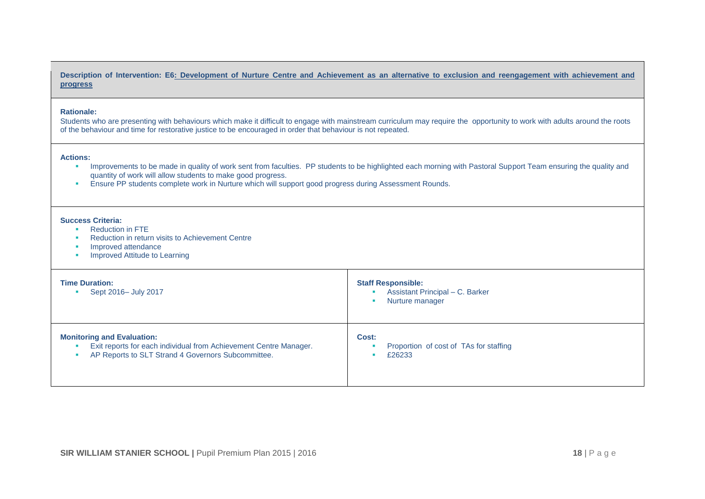#### **Description of Intervention: E6: Development of Nurture Centre and Achievement as an alternative to exclusion and reengagement with achievement and progress**

#### **Rationale:**

Students who are presenting with behaviours which make it difficult to engage with mainstream curriculum may require the opportunity to work with adults around the roots of the behaviour and time for restorative justice to be encouraged in order that behaviour is not repeated.

#### **Actions:**

- **IMPROVERT AS A CONCENT FIGHT CONCENT** Improvements to be highlighted each morning with Pastoral Support Team ensuring the quality and quantity of work will allow students to make good progress.
- **Ensure PP students complete work in Nurture which will support good progress during Assessment Rounds.**

- **Reduction in FTE**
- Reduction in return visits to Achievement Centre
- **Improved attendance**
- **Improved Attitude to Learning**

| <b>Time Duration:</b><br>Sept 2016- July 2017                     | <b>Staff Responsible:</b><br>Assistant Principal - C. Barker<br>Nurture manager |
|-------------------------------------------------------------------|---------------------------------------------------------------------------------|
| <b>Monitoring and Evaluation:</b>                                 | Cost:                                                                           |
| Exit reports for each individual from Achievement Centre Manager. | Proportion of cost of TAs for staffing                                          |
| AP Reports to SLT Strand 4 Governors Subcommittee.                | £26233                                                                          |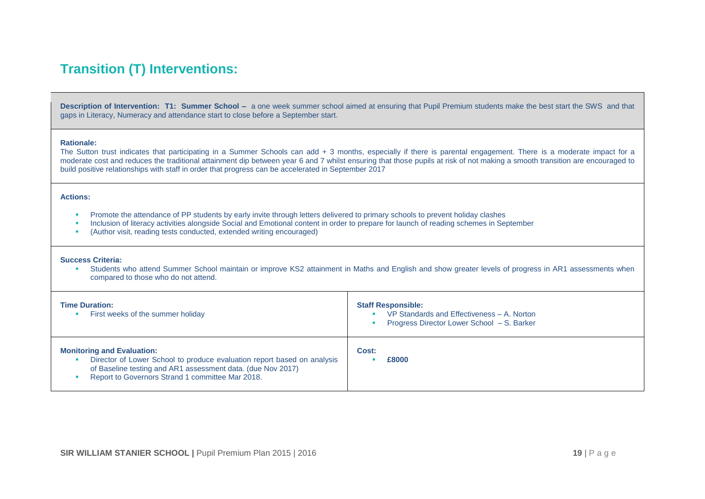# **Transition (T) Interventions:**

**Description of Intervention: T1: Summer School –** a one week summer school aimed at ensuring that Pupil Premium students make the best start the SWS and that gaps in Literacy, Numeracy and attendance start to close before a September start.

#### **Rationale:**

The Sutton trust indicates that participating in a Summer Schools can add + 3 months, especially if there is parental engagement. There is a moderate impact for a moderate cost and reduces the traditional attainment dip between year 6 and 7 whilst ensuring that those pupils at risk of not making a smooth transition are encouraged to build positive relationships with staff in order that progress can be accelerated in September 2017

#### **Actions:**

- Promote the attendance of PP students by early invite through letters delivered to primary schools to prevent holiday clashes
- **Inclusion of literacy activities alongside Social and Emotional content in order to prepare for launch of reading schemes in September**
- (Author visit, reading tests conducted, extended writing encouraged)

#### **Success Criteria:**

 Students who attend Summer School maintain or improve KS2 attainment in Maths and English and show greater levels of progress in AR1 assessments when compared to those who do not attend.

| <b>Time Duration:</b><br>First weeks of the summer holiday                                                                                                                                                                      | <b>Staff Responsible:</b><br>VP Standards and Effectiveness - A. Norton<br>Progress Director Lower School - S. Barker |
|---------------------------------------------------------------------------------------------------------------------------------------------------------------------------------------------------------------------------------|-----------------------------------------------------------------------------------------------------------------------|
| <b>Monitoring and Evaluation:</b><br>Director of Lower School to produce evaluation report based on analysis<br>of Baseline testing and AR1 assessment data. (due Nov 2017)<br>Report to Governors Strand 1 committee Mar 2018. | Cost:<br>£8000                                                                                                        |